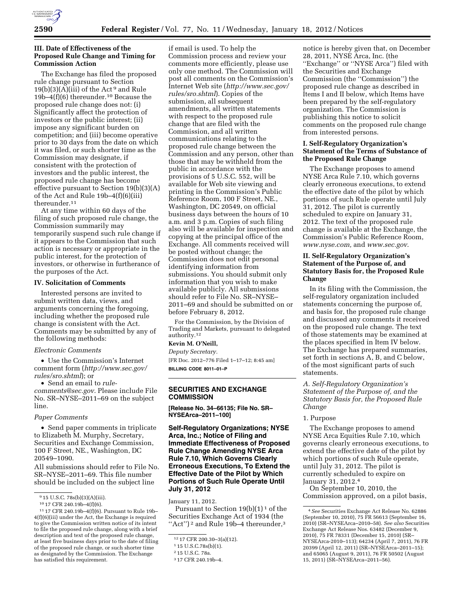

### **III. Date of Effectiveness of the Proposed Rule Change and Timing for Commission Action**

The Exchange has filed the proposed rule change pursuant to Section  $19(b)(3)(A)(iii)$  of the Act<sup>9</sup> and Rule 19b–4(f)(6) thereunder.10 Because the proposed rule change does not: (i) Significantly affect the protection of investors or the public interest; (ii) impose any significant burden on competition; and (iii) become operative prior to 30 days from the date on which it was filed, or such shorter time as the Commission may designate, if consistent with the protection of investors and the public interest, the proposed rule change has become effective pursuant to Section 19(b)(3)(A) of the Act and Rule 19b–4(f)(6)(iii) thereunder.11

At any time within 60 days of the filing of such proposed rule change, the Commission summarily may temporarily suspend such rule change if it appears to the Commission that such action is necessary or appropriate in the public interest, for the protection of investors, or otherwise in furtherance of the purposes of the Act.

#### **IV. Solicitation of Comments**

Interested persons are invited to submit written data, views, and arguments concerning the foregoing, including whether the proposed rule change is consistent with the Act. Comments may be submitted by any of the following methods:

### *Electronic Comments*

• Use the Commission's Internet comment form (*[http://www.sec.gov/](http://www.sec.gov/rules/sro.shtml)  [rules/sro.shtml](http://www.sec.gov/rules/sro.shtml)*); or

• Send an email to *[rule](mailto:rule-comments@sec.gov)[comments@sec.gov.](mailto:rule-comments@sec.gov)* Please include File No. SR–NYSE–2011–69 on the subject line.

#### *Paper Comments*

• Send paper comments in triplicate to Elizabeth M. Murphy, Secretary, Securities and Exchange Commission, 100 F Street, NE., Washington, DC 20549–1090.

All submissions should refer to File No. SR–NYSE–2011–69. This file number should be included on the subject line

if email is used. To help the Commission process and review your comments more efficiently, please use only one method. The Commission will post all comments on the Commission's Internet Web site (*[http://www.sec.gov/](http://www.sec.gov/rules/sro.shtml)  [rules/sro.shtml](http://www.sec.gov/rules/sro.shtml)*). Copies of the submission, all subsequent amendments, all written statements with respect to the proposed rule change that are filed with the Commission, and all written communications relating to the proposed rule change between the Commission and any person, other than those that may be withheld from the public in accordance with the provisions of 5 U.S.C. 552, will be available for Web site viewing and printing in the Commission's Public Reference Room, 100 F Street, NE., Washington, DC 20549, on official business days between the hours of 10 a.m. and 3 p.m. Copies of such filing also will be available for inspection and copying at the principal office of the Exchange. All comments received will be posted without change; the Commission does not edit personal identifying information from submissions. You should submit only information that you wish to make available publicly. All submissions should refer to File No. SR–NYSE– 2011–69 and should be submitted on or before February 8, 2012.

For the Commission, by the Division of Trading and Markets, pursuant to delegated authority.12

## **Kevin M. O'Neill,**

*Deputy Secretary.*  [FR Doc. 2012–776 Filed 1–17–12; 8:45 am] **BILLING CODE 8011–01–P** 

# **SECURITIES AND EXCHANGE COMMISSION**

**[Release No. 34–66135; File No. SR– NYSEArca–2011–100]** 

**Self-Regulatory Organizations; NYSE Arca, Inc.; Notice of Filing and Immediate Effectiveness of Proposed Rule Change Amending NYSE Arca Rule 7.10, Which Governs Clearly Erroneous Executions, To Extend the Effective Date of the Pilot by Which Portions of Such Rule Operate Until July 31, 2012** 

# January 11, 2012.

Pursuant to Section  $19(b)(1)^1$  of the Securities Exchange Act of 1934 (the "Act")<sup>2</sup> and Rule 19b-4 thereunder, $3$ 

notice is hereby given that, on December 28, 2011, NYSE Arca, Inc. (the ''Exchange'' or ''NYSE Arca'') filed with the Securities and Exchange Commission (the ''Commission'') the proposed rule change as described in Items I and II below, which Items have been prepared by the self-regulatory organization. The Commission is publishing this notice to solicit comments on the proposed rule change from interested persons.

# **I. Self-Regulatory Organization's Statement of the Terms of Substance of the Proposed Rule Change**

The Exchange proposes to amend NYSE Arca Rule 7.10, which governs clearly erroneous executions, to extend the effective date of the pilot by which portions of such Rule operate until July 31, 2012. The pilot is currently scheduled to expire on January 31, 2012. The text of the proposed rule change is available at the Exchange, the Commission's Public Reference Room, *[www.nyse.com,](http://www.nyse.com)* and *[www.sec.gov](http://www.sec.gov)*.

# **II. Self-Regulatory Organization's Statement of the Purpose of, and Statutory Basis for, the Proposed Rule Change**

In its filing with the Commission, the self-regulatory organization included statements concerning the purpose of, and basis for, the proposed rule change and discussed any comments it received on the proposed rule change. The text of those statements may be examined at the places specified in Item IV below. The Exchange has prepared summaries, set forth in sections A, B, and C below, of the most significant parts of such statements.

# *A. Self-Regulatory Organization's Statement of the Purpose of, and the Statutory Basis for, the Proposed Rule Change*

#### 1. Purpose

The Exchange proposes to amend NYSE Arca Equities Rule 7.10, which governs clearly erroneous executions, to extend the effective date of the pilot by which portions of such Rule operate, until July 31, 2012. The pilot is currently scheduled to expire on January 31, 2012.4

On September 10, 2010, the Commission approved, on a pilot basis,

<sup>9</sup> 15 U.S.C. 78s(b)(3)(A)(iii).

<sup>10</sup> 17 CFR 240.19b–4(f)(6).

<sup>11</sup> 17 CFR 240.19b–4(f)(6). Pursuant to Rule 19b– 4(f)(6)(iii) under the Act, the Exchange is required to give the Commission written notice of its intent to file the proposed rule change, along with a brief description and text of the proposed rule change, at least five business days prior to the date of filing of the proposed rule change, or such shorter time as designated by the Commission. The Exchange has satisfied this requirement.

<sup>12</sup> 17 CFR 200.30–3(a)(12).

<sup>1</sup> 15 U.S.C.78s(b)(1).

<sup>2</sup> 15 U.S.C. 78a.

<sup>3</sup> 17 CFR 240.19b–4.

<sup>4</sup>*See* Securities Exchange Act Release No. 62886 (September 10, 2010), 75 FR 56613 (September 16, 2010) (SR–NYSEArca–2010–58). *See also* Securities Exchange Act Release Nos. 63482 (December 9, 2010), 75 FR 78331 (December 15, 2010) (SR– NYSEArca-2010–113); 64234 (April 7, 2011), 76 FR 20399 (April 12, 2011) (SR–NYSEArca–2011–15); and 65065 (August 9, 2011), 76 FR 50502 (August 15, 2011) (SR–NYSEArca–2011–56).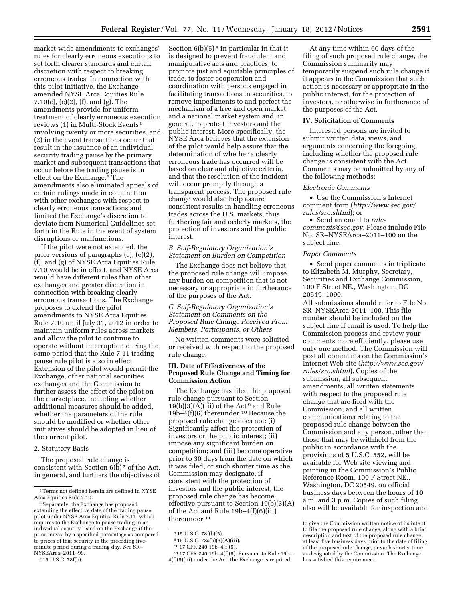market-wide amendments to exchanges' rules for clearly erroneous executions to set forth clearer standards and curtail discretion with respect to breaking erroneous trades. In connection with this pilot initiative, the Exchange amended NYSE Arca Equities Rule 7.10(c), (e)(2), (f), and (g). The amendments provide for uniform treatment of clearly erroneous execution reviews (1) in Multi-Stock Events 5 involving twenty or more securities, and (2) in the event transactions occur that result in the issuance of an individual security trading pause by the primary market and subsequent transactions that occur before the trading pause is in effect on the Exchange.6 The amendments also eliminated appeals of certain rulings made in conjunction with other exchanges with respect to clearly erroneous transactions and limited the Exchange's discretion to deviate from Numerical Guidelines set forth in the Rule in the event of system disruptions or malfunctions.

If the pilot were not extended, the prior versions of paragraphs (c), (e)(2), (f), and (g) of NYSE Arca Equities Rule 7.10 would be in effect, and NYSE Arca would have different rules than other exchanges and greater discretion in connection with breaking clearly erroneous transactions. The Exchange proposes to extend the pilot amendments to NYSE Arca Equities Rule 7.10 until July 31, 2012 in order to maintain uniform rules across markets and allow the pilot to continue to operate without interruption during the same period that the Rule 7.11 trading pause rule pilot is also in effect. Extension of the pilot would permit the Exchange, other national securities exchanges and the Commission to further assess the effect of the pilot on the marketplace, including whether additional measures should be added, whether the parameters of the rule should be modified or whether other initiatives should be adopted in lieu of the current pilot.

#### 2. Statutory Basis

The proposed rule change is consistent with Section  $6(b)$ <sup>7</sup> of the Act, in general, and furthers the objectives of

Section  $6(b)(5)^8$  in particular in that it is designed to prevent fraudulent and manipulative acts and practices, to promote just and equitable principles of trade, to foster cooperation and coordination with persons engaged in facilitating transactions in securities, to remove impediments to and perfect the mechanism of a free and open market and a national market system and, in general, to protect investors and the public interest. More specifically, the NYSE Arca believes that the extension of the pilot would help assure that the determination of whether a clearly erroneous trade has occurred will be based on clear and objective criteria, and that the resolution of the incident will occur promptly through a transparent process. The proposed rule change would also help assure consistent results in handling erroneous trades across the U.S. markets, thus furthering fair and orderly markets, the protection of investors and the public interest.

# *B. Self-Regulatory Organization's Statement on Burden on Competition*

The Exchange does not believe that the proposed rule change will impose any burden on competition that is not necessary or appropriate in furtherance of the purposes of the Act.

# *C. Self-Regulatory Organization's Statement on Comments on the Proposed Rule Change Received From Members, Participants, or Others*

No written comments were solicited or received with respect to the proposed rule change.

## **III. Date of Effectiveness of the Proposed Rule Change and Timing for Commission Action**

The Exchange has filed the proposed rule change pursuant to Section  $19(b)(3)(A)(iii)$  of the Act<sup>9</sup> and Rule 19b–4 $(f)(6)$  thereunder.<sup>10</sup> Because the proposed rule change does not: (i) Significantly affect the protection of investors or the public interest; (ii) impose any significant burden on competition; and (iii) become operative prior to 30 days from the date on which it was filed, or such shorter time as the Commission may designate, if consistent with the protection of investors and the public interest, the proposed rule change has become effective pursuant to Section 19(b)(3)(A) of the Act and Rule 19b–4(f)(6)(iii) thereunder.11

<sup>10</sup> 17 CFR 240.19b–4(f)(6). 11 17 CFR 240.19b–4(f)(6). Pursuant to Rule 19b– 4(f)(6)(iii) under the Act, the Exchange is required

At any time within 60 days of the filing of such proposed rule change, the Commission summarily may temporarily suspend such rule change if it appears to the Commission that such action is necessary or appropriate in the public interest, for the protection of investors, or otherwise in furtherance of the purposes of the Act.

#### **IV. Solicitation of Comments**

Interested persons are invited to submit written data, views, and arguments concerning the foregoing, including whether the proposed rule change is consistent with the Act. Comments may be submitted by any of the following methods:

#### *Electronic Comments*

• Use the Commission's Internet comment form (*[http://www.sec.gov/](http://www.sec.gov/rules/sro.shtml)  [rules/sro.shtml](http://www.sec.gov/rules/sro.shtml)*); or

• Send an email to *[rule](mailto:rule-comments@sec.gov)[comments@sec.gov](mailto:rule-comments@sec.gov)*. Please include File No. SR–NYSEArca–2011–100 on the subject line.

#### *Paper Comments*

• Send paper comments in triplicate to Elizabeth M. Murphy, Secretary, Securities and Exchange Commission, 100 F Street NE., Washington, DC 20549–1090.

All submissions should refer to File No. SR–NYSEArca-2011–100. This file number should be included on the subject line if email is used. To help the Commission process and review your comments more efficiently, please use only one method. The Commission will post all comments on the Commission's Internet Web site (*[http://www.sec.gov/](http://www.sec.gov/rules/sro.shtml)  [rules/sro.shtml](http://www.sec.gov/rules/sro.shtml)*). Copies of the submission, all subsequent amendments, all written statements with respect to the proposed rule change that are filed with the Commission, and all written communications relating to the proposed rule change between the Commission and any person, other than those that may be withheld from the public in accordance with the provisions of 5 U.S.C. 552, will be available for Web site viewing and printing in the Commission's Public Reference Room, 100 F Street NE., Washington, DC 20549, on official business days between the hours of 10 a.m. and 3 p.m. Copies of such filing also will be available for inspection and

<sup>5</sup>Terms not defined herein are defined in NYSE Arca Equities Rule 7.10.

<sup>&</sup>lt;sup>6</sup> Separately, the Exchange has proposed extending the effective date of the trading pause pilot under NYSE Arca Equities Rule 7.11, which requires to the Exchange to pause trading in an individual security listed on the Exchange if the price moves by a specified percentage as compared to prices of that security in the preceding fiveminute period during a trading day. *See* SR– NYSEArca–2011–99.

<sup>7</sup> 15 U.S.C. 78f(b).

<sup>8</sup> 15 U.S.C. 78f(b)(5).

<sup>&</sup>lt;sup>9</sup> 15 U.S.C. 78s(b)(3)(A)(iii).

to give the Commission written notice of its intent to file the proposed rule change, along with a brief description and text of the proposed rule change, at least five business days prior to the date of filing of the proposed rule change, or such shorter time as designated by the Commission. The Exchange has satisfied this requirement.